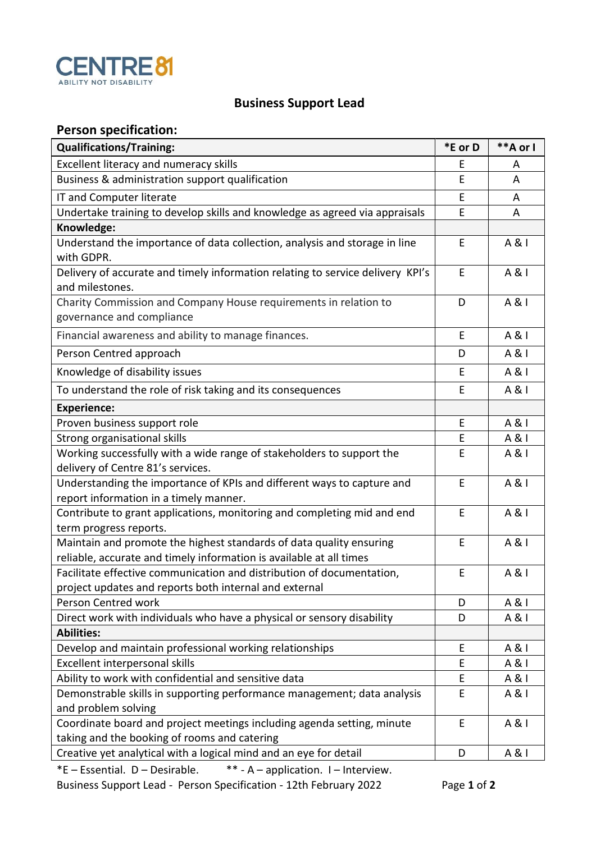

## **Business Support Lead**

## **Person specification:**

| <b>Qualifications/Training:</b>                                                                                                            | *E or D | **A or I |
|--------------------------------------------------------------------------------------------------------------------------------------------|---------|----------|
| Excellent literacy and numeracy skills                                                                                                     | E       | A        |
| Business & administration support qualification                                                                                            | E       | A        |
| IT and Computer literate                                                                                                                   | E       | A        |
| Undertake training to develop skills and knowledge as agreed via appraisals                                                                | E       | A        |
| Knowledge:                                                                                                                                 |         |          |
| Understand the importance of data collection, analysis and storage in line<br>with GDPR.                                                   | E       | A & I    |
| Delivery of accurate and timely information relating to service delivery KPI's<br>and milestones.                                          | E       | A & I    |
| Charity Commission and Company House requirements in relation to<br>governance and compliance                                              | D       | A & I    |
| Financial awareness and ability to manage finances.                                                                                        | E       | A & I    |
| Person Centred approach                                                                                                                    | D       | A & I    |
| Knowledge of disability issues                                                                                                             | E       | A & I    |
| To understand the role of risk taking and its consequences                                                                                 | E       | A & I    |
| <b>Experience:</b>                                                                                                                         |         |          |
| Proven business support role                                                                                                               | E       | A & I    |
| Strong organisational skills                                                                                                               | E       | A & I    |
| Working successfully with a wide range of stakeholders to support the<br>delivery of Centre 81's services.                                 | E       | A & I    |
| Understanding the importance of KPIs and different ways to capture and<br>report information in a timely manner.                           | E       | A & I    |
| Contribute to grant applications, monitoring and completing mid and end<br>term progress reports.                                          | E       | A & I    |
| Maintain and promote the highest standards of data quality ensuring<br>reliable, accurate and timely information is available at all times | E       | A & I    |
| Facilitate effective communication and distribution of documentation,<br>project updates and reports both internal and external            | E       | A & I    |
| Person Centred work                                                                                                                        | D       | A & I    |
| Direct work with individuals who have a physical or sensory disability                                                                     | D       | A & I    |
| <b>Abilities:</b>                                                                                                                          |         |          |
| Develop and maintain professional working relationships                                                                                    | E       | A & I    |
| Excellent interpersonal skills                                                                                                             | E       | A & I    |
| Ability to work with confidential and sensitive data                                                                                       | E       | A & I    |
| Demonstrable skills in supporting performance management; data analysis<br>and problem solving                                             | E       | A & I    |
| Coordinate board and project meetings including agenda setting, minute<br>taking and the booking of rooms and catering                     | E       | A & I    |
| Creative yet analytical with a logical mind and an eye for detail                                                                          | D       | A & I    |

\*E – Essential. D – Desirable. \*\* - A – application. I – Interview. Business Support Lead - Person Specification - 12th February 2022 Page **1** of **2**